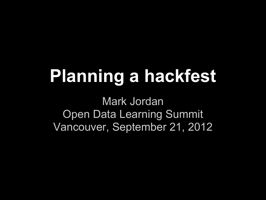## **Planning a hackfest**

Mark Jordan Open Data Learning Summit Vancouver, September 21, 2012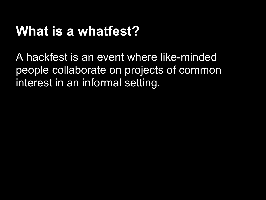### **What is a whatfest?**

A hackfest is an event where like-minded people collaborate on projects of common interest in an informal setting.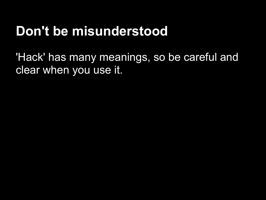### **Don't be misunderstood**

'Hack' has many meanings, so be careful and clear when you use it.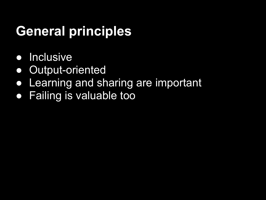### **General principles**

- Inclusive
- Output-oriented
- **Learning and sharing are important**
- Failing is valuable too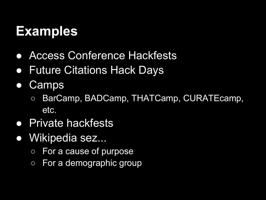### **Examples**

- Access Conference Hackfests
- Future Citations Hack Days
- Camps
	- BarCamp, BADCamp, THATCamp, CURATEcamp, etc.
- **Private hackfests**
- Wikipedia sez...
	- For a cause of purpose
	- For a demographic group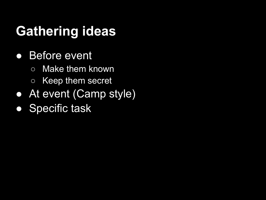### **Gathering ideas**

- Before event
	- Make them known
	- Keep them secret
- At event (Camp style)
- Specific task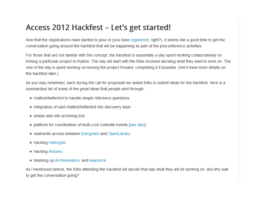#### Access 2012 Hackfest – Let's get started!

Now that the registrations have started to pour in (you have registered, right?), it seems like a good time to get the conversation going around the hackfest that will be happening as part of the preconference activities.

For those that are not familiar with the concept, the hackfest is essentially a day spent working collaboratively on brining a particular project to fruition. The day will start with the folks involved deciding what they want to work on. The rest of the day is spent working on moving the project forward, completing it if possible. (We'll have more details on the hackfest later.)

As you may remember, back during the call for proposals we asked folks to submit ideas for the hackfest. Here is a summarized list of some of the great ideas that people sent through:

- chatbot/twitterbot to handle simple reference questions
- integration of said chatbot/twitterbot into discovery layer
- simple web-site archiving tool
- platform for coordination of multi-core code4lib events [see also]
- read/write access between Evergreen and OpenLibrary
- Hacking Historypin
- Hacking Arduino
- Mashing up Archivematica and Islandora

As I mentioned before, the folks attending the hackfest will decide that day what they will be working on. But why wait to get the conversation going?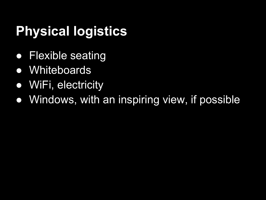### **Physical logistics**

- Flexible seating
- Whiteboards
- WiFi, electricity
- Windows, with an inspiring view, if possible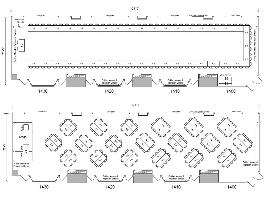

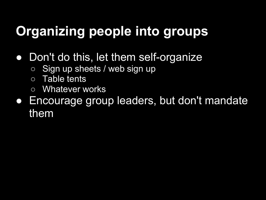## **Organizing people into groups**

- Don't do this, let them self-organize
	- o Sign up sheets / web sign up
	- Table tents
	- Whatever works
- Encourage group leaders, but don't mandate them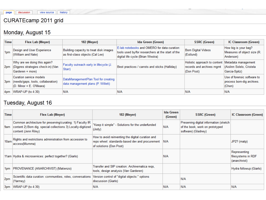#### CURATEcamp 2011 grid

#### Monday, August 15

| <b>Time</b> | Flex Lab (Meyer)                                                                           | 182 (Meyer)                                                                | Ida Green (Green)                                                                                                                      | <b>SSRC (Green)</b>                                                     | IC Classroom (Green)                                                |
|-------------|--------------------------------------------------------------------------------------------|----------------------------------------------------------------------------|----------------------------------------------------------------------------------------------------------------------------------------|-------------------------------------------------------------------------|---------------------------------------------------------------------|
| 1pm         | Design and User Experience<br>(William and Nate)                                           | Building capacity to treat disk images<br>as first-class objects (Cal Lee) | E-lab notebooks and OMERO for data curation:<br>tools used by/for researchers at the start of the<br>digital life cycle (Brian Westra) | <b>Born Digital Videos</b><br>(Estlund)                                 | How big is your bag?<br>Measures of object size (R.<br>Anderson)    |
| 2pm         | Why are we doing this again?<br>(Digpres strategies check-in) (Van<br>Garderen + more)     | Faculty outreach early in lifecycle (J.<br>Starr)                          | Best practices / carrots and sticks (Halliday)                                                                                         | Holistic approach to content<br>records and archives mgmt<br>(Don Post) | Metadata management<br>(Aislinn Solelo, Cristela<br>Garcia-Spitz)   |
| 3pm         | Curation service models<br>(needs/gaps, tools, collaboration)<br>$(O.$ Minor + E. O'Meara) | DataManagementPlan Tool for creating<br>data management plans (P. Willett) |                                                                                                                                        |                                                                         | Use of forensic software to<br>process born-dig archives.<br>(Chen) |
| 4pm         | $WRAP-UP$ (to 4:30)                                                                        | N/A                                                                        | N/A                                                                                                                                    | IN/A                                                                    | IN/A                                                                |

#### Tuesday, August 16

| Time            | Flex Lab (Meyer)                                                                                                                                    | 182 (Meyer)                                                                                                                     | <b>Ida Green</b><br>(Green) | <b>SSRC (Green)</b>                                                                              | IC Classroom (Green)                                |
|-----------------|-----------------------------------------------------------------------------------------------------------------------------------------------------|---------------------------------------------------------------------------------------------------------------------------------|-----------------------------|--------------------------------------------------------------------------------------------------|-----------------------------------------------------|
| 9am             | Common architecture for preserving/curating: 1) Faculty IR<br>content 2) Born dig. special collections 3) Locally-digitized<br>content (Jenn Riley) | "Keep it simple" - Solutions for the underfunded<br>(Jody)                                                                      | N/A                         | Preserving digital information (sketch<br>of the book, work on prototyped<br>software) (Gladney) |                                                     |
| 10am            | Rights and restrictions administration from accession to<br>access(Mumma)                                                                           | How to avoid reinventing the digital curation and<br>repo wheel: standards-based dev and procurement<br>of solutions (Don Post) | IN/A                        |                                                                                                  | JP2? (matp)                                         |
|                 | 11am Hydra & microservices: perfect together? (Giarlo)                                                                                              |                                                                                                                                 | N/A                         |                                                                                                  | Representing<br>filesystems in RDF<br>(anarchivist) |
| 1pm             | PROVENANCE (ANARCHIVIST) (Matienzo)                                                                                                                 | Transfer and SIP creation: Archivematica regs,<br>tools, design analysis (Van Garderen)                                         |                             |                                                                                                  | Hydra followup (Giarlo)                             |
| 2pm             | Scientific data curation: communities, roles, conversations<br>(Yarmey)                                                                             | Version control of "digital objects:" options<br>discussion (Giarlo)                                                            |                             | N/A                                                                                              |                                                     |
| 3 <sub>pm</sub> | WRAP-UP (to 4:30)                                                                                                                                   | N/A                                                                                                                             | N/A                         | N/A                                                                                              | N/A                                                 |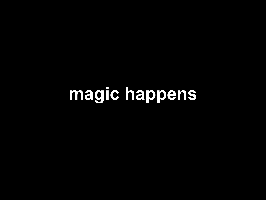**magic happens**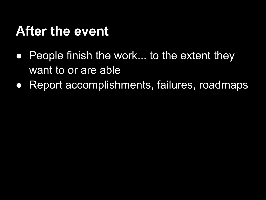#### **After the event**

- People finish the work... to the extent they want to or are able
- Report accomplishments, failures, roadmaps